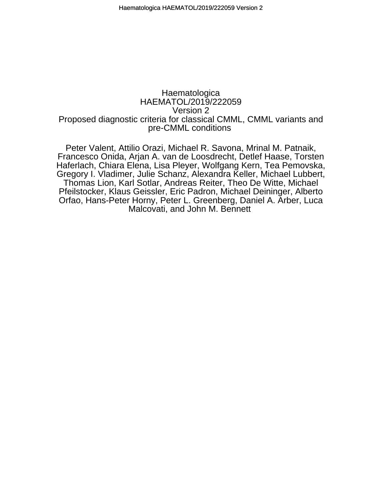## pre-CMML conditions Proposed diagnostic criteria for classical CMML, CMML variants and Version 2 HAEMATOL/2019/222059 **Haematologica**

Malcovati, and John M. Bennett Orfao, Hans-Peter Horny, Peter L. Greenberg, Daniel A. Arber, Luca Pfeilstocker, Klaus Geissler, Eric Padron, Michael Deininger, Alberto Thomas Lion, Karl Sotlar, Andreas Reiter, Theo De Witte, Michael Gregory I. Vladimer, Julie Schanz, Alexandra Keller, Michael Lubbert, Haferlach, Chiara Elena, Lisa Pleyer, Wolfgang Kern, Tea Pemovska, Francesco Onida, Arjan A. van de Loosdrecht, Detlef Haase, Torsten Peter Valent, Attilio Orazi, Michael R. Savona, Mrinal M. Patnaik,